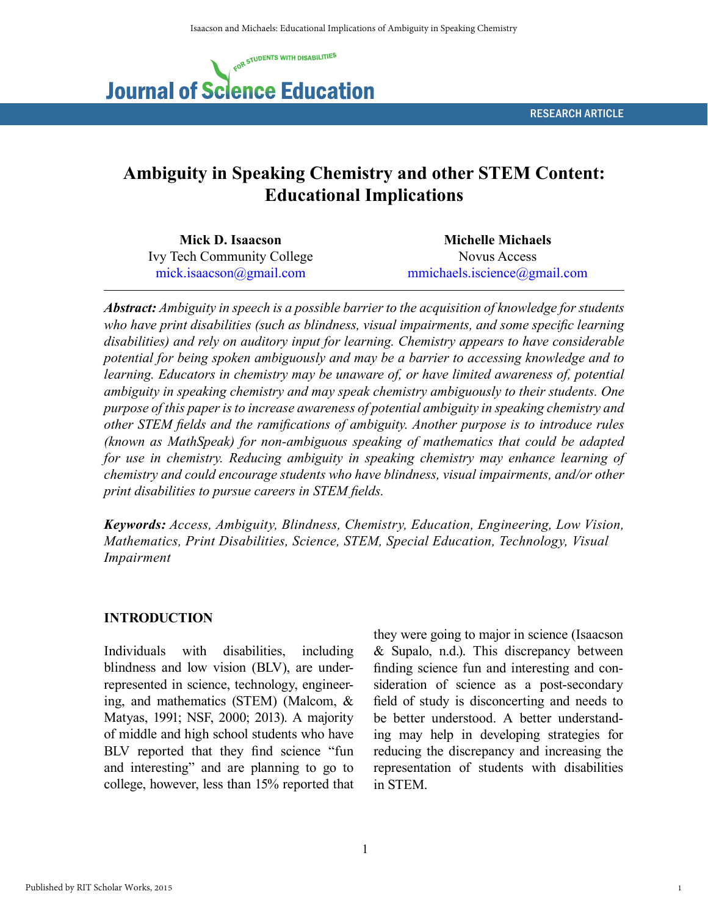

# **Ambiguity in Speaking Chemistry and other STEM Content: Educational Implications**

| Mick D. Isaacson                  | <b>Michelle Michaels</b>     |  |
|-----------------------------------|------------------------------|--|
| <b>Ivy Tech Community College</b> | Novus Access                 |  |
| mick.isaacson@gmail.com           | mmichaels.iscience@gmail.com |  |

*Abstract: Ambiguity in speech is a possible barrier to the acquisition of knowledge for students who have print disabilities (such as blindness, visual impairments, and some specific learning disabilities) and rely on auditory input for learning. Chemistry appears to have considerable potential for being spoken ambiguously and may be a barrier to accessing knowledge and to*  learning. Educators in chemistry may be unaware of, or have limited awareness of, potential *ambiguity in speaking chemistry and may speak chemistry ambiguously to their students. One purpose of this paper is to increase awareness of potential ambiguity in speaking chemistry and other STEM fields and the ramifications of ambiguity. Another purpose is to introduce rules (known as MathSpeak) for non-ambiguous speaking of mathematics that could be adapted for use in chemistry. Reducing ambiguity in speaking chemistry may enhance learning of chemistry and could encourage students who have blindness, visual impairments, and/or other print disabilities to pursue careers in STEM fields.*

*Keywords: Access, Ambiguity, Blindness, Chemistry, Education, Engineering, Low Vision, Mathematics, Print Disabilities, Science, STEM, Special Education, Technology, Visual Impairment*

### **INTRODUCTION**

Individuals with disabilities, including blindness and low vision (BLV), are underrepresented in science, technology, engineering, and mathematics (STEM) (Malcom, & Matyas, 1991; NSF, 2000; 2013). A majority of middle and high school students who have BLV reported that they find science "fun and interesting" and are planning to go to college, however, less than 15% reported that they were going to major in science (Isaacson & Supalo, n.d.). This discrepancy between finding science fun and interesting and consideration of science as a post-secondary field of study is disconcerting and needs to be better understood. A better understanding may help in developing strategies for reducing the discrepancy and increasing the representation of students with disabilities in STEM.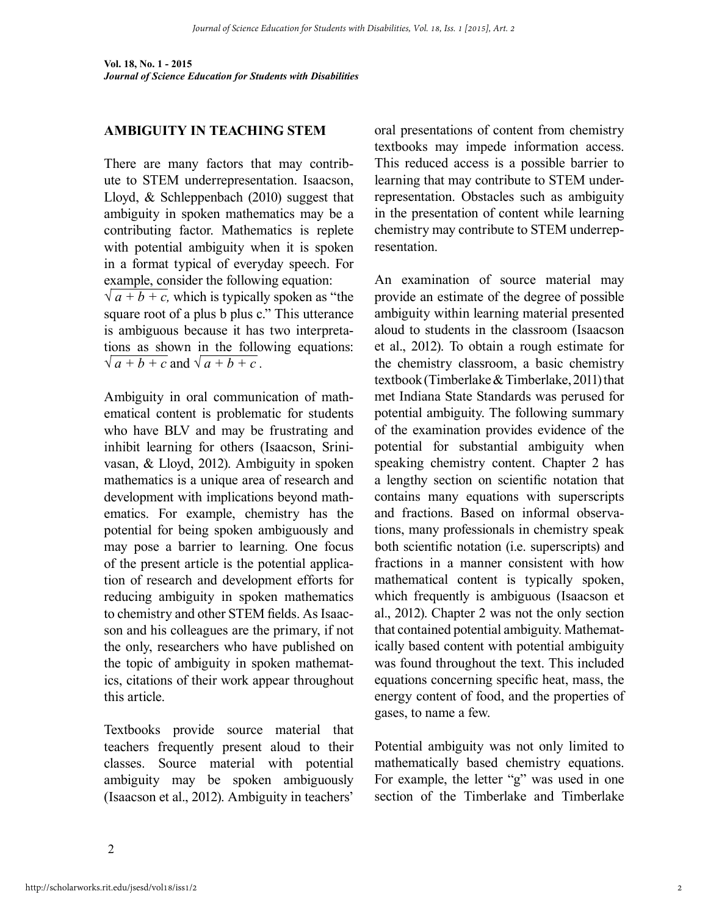#### **AMBIGUITY IN TEACHING STEM**

There are many factors that may contribute to STEM underrepresentation. Isaacson, Lloyd, & Schleppenbach (2010) suggest that ambiguity in spoken mathematics may be a contributing factor. Mathematics is replete with potential ambiguity when it is spoken in a format typical of everyday speech. For example, consider the following equation:  $\sqrt{a+b+c}$ , which is typically spoken as "the

square root of a plus b plus c." This utterance is ambiguous because it has two interpretations as shown in the following equations:  $\sqrt{a+b+c}$  and  $\sqrt{a+b+c}$ .

Ambiguity in oral communication of mathematical content is problematic for students who have BLV and may be frustrating and inhibit learning for others (Isaacson, Srinivasan, & Lloyd, 2012). Ambiguity in spoken mathematics is a unique area of research and development with implications beyond mathematics. For example, chemistry has the potential for being spoken ambiguously and may pose a barrier to learning. One focus of the present article is the potential application of research and development efforts for reducing ambiguity in spoken mathematics to chemistry and other STEM fields. As Isaacson and his colleagues are the primary, if not the only, researchers who have published on the topic of ambiguity in spoken mathematics, citations of their work appear throughout this article.

Textbooks provide source material that teachers frequently present aloud to their classes. Source material with potential ambiguity may be spoken ambiguously (Isaacson et al., 2012). Ambiguity in teachers'

oral presentations of content from chemistry textbooks may impede information access. This reduced access is a possible barrier to learning that may contribute to STEM underrepresentation. Obstacles such as ambiguity in the presentation of content while learning chemistry may contribute to STEM underrepresentation.

An examination of source material may provide an estimate of the degree of possible ambiguity within learning material presented aloud to students in the classroom (Isaacson et al., 2012). To obtain a rough estimate for the chemistry classroom, a basic chemistry textbook (Timberlake & Timberlake, 2011) that met Indiana State Standards was perused for potential ambiguity. The following summary of the examination provides evidence of the potential for substantial ambiguity when speaking chemistry content. Chapter 2 has a lengthy section on scientific notation that contains many equations with superscripts and fractions. Based on informal observations, many professionals in chemistry speak both scientific notation (i.e. superscripts) and fractions in a manner consistent with how mathematical content is typically spoken, which frequently is ambiguous (Isaacson et al., 2012). Chapter 2 was not the only section that contained potential ambiguity. Mathematically based content with potential ambiguity was found throughout the text. This included equations concerning specific heat, mass, the energy content of food, and the properties of gases, to name a few.

Potential ambiguity was not only limited to mathematically based chemistry equations. For example, the letter "g" was used in one section of the Timberlake and Timberlake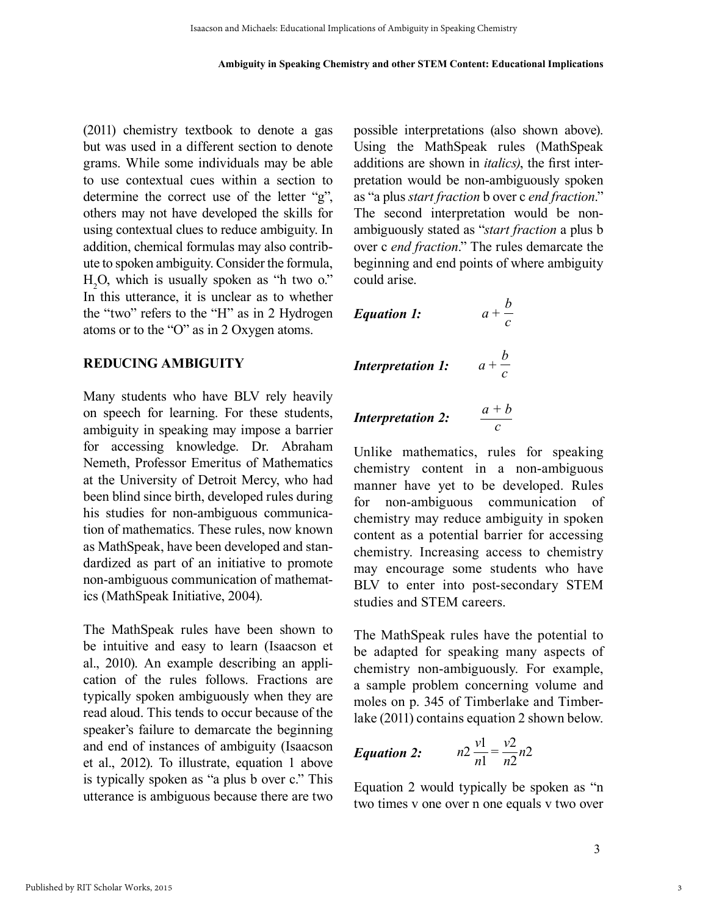(2011) chemistry textbook to denote a gas but was used in a different section to denote grams. While some individuals may be able to use contextual cues within a section to determine the correct use of the letter "g", others may not have developed the skills for using contextual clues to reduce ambiguity. In addition, chemical formulas may also contribute to spoken ambiguity. Consider the formula,  $H_2O$ , which is usually spoken as "h two o." In this utterance, it is unclear as to whether the "two" refers to the "H" as in 2 Hydrogen atoms or to the "O" as in 2 Oxygen atoms.

#### **REDUCING AMBIGUITY**

Many students who have BLV rely heavily on speech for learning. For these students, ambiguity in speaking may impose a barrier for accessing knowledge. Dr. Abraham Nemeth, Professor Emeritus of Mathematics at the University of Detroit Mercy, who had been blind since birth, developed rules during his studies for non-ambiguous communication of mathematics. These rules, now known as MathSpeak, have been developed and standardized as part of an initiative to promote non-ambiguous communication of mathematics (MathSpeak Initiative, 2004).

The MathSpeak rules have been shown to be intuitive and easy to learn (Isaacson et al., 2010). An example describing an application of the rules follows. Fractions are typically spoken ambiguously when they are read aloud. This tends to occur because of the speaker's failure to demarcate the beginning and end of instances of ambiguity (Isaacson et al., 2012). To illustrate, equation 1 above is typically spoken as "a plus b over c." This utterance is ambiguous because there are two possible interpretations (also shown above). Using the MathSpeak rules (MathSpeak additions are shown in *italics)*, the first interpretation would be non-ambiguously spoken as "a plus *start fraction* b over c *end fraction*." The second interpretation would be nonambiguously stated as "*start fraction* a plus b over c *end fraction*." The rules demarcate the beginning and end points of where ambiguity could arise.

| <i>Equation 1:</i>       | $a + \frac{b}{c}$ |
|--------------------------|-------------------|
| <i>Interpretation 1:</i> | $a + \frac{b}{c}$ |
| <i>Interpretation 2:</i> | $\frac{a+b}{c}$   |

Unlike mathematics, rules for speaking chemistry content in a non-ambiguous manner have yet to be developed. Rules for non-ambiguous communication of chemistry may reduce ambiguity in spoken content as a potential barrier for accessing chemistry. Increasing access to chemistry may encourage some students who have BLV to enter into post-secondary STEM studies and STEM careers.

*c*

The MathSpeak rules have the potential to be adapted for speaking many aspects of chemistry non-ambiguously. For example, a sample problem concerning volume and moles on p. 345 of Timberlake and Timberlake (2011) contains equation 2 shown below.

***Equation 2:*** 
$$
n2 \frac{v1}{n1} = \frac{v2}{n2}n2
$$

Equation 2 would typically be spoken as "n two times v one over n one equals v two over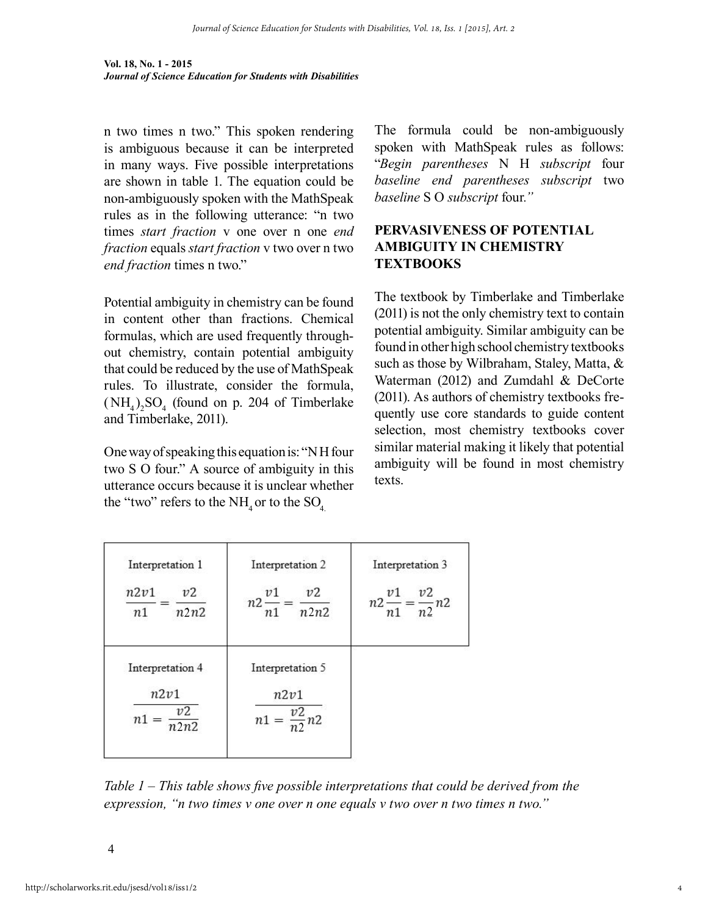**Vol. 18, No. 1 - 2015** *Journal of Science Education for Students with Disabilities*

n two times n two." This spoken rendering is ambiguous because it can be interpreted in many ways. Five possible interpretations are shown in table 1. The equation could be non-ambiguously spoken with the MathSpeak rules as in the following utterance: "n two times *start fraction* v one over n one *end fraction* equals *start fraction* v two over n two *end fraction* times n two."

Potential ambiguity in chemistry can be found in content other than fractions. Chemical formulas, which are used frequently throughout chemistry, contain potential ambiguity that could be reduced by the use of MathSpeak rules. To illustrate, consider the formula,  $(NH_4)_2SO_4$  (found on p. 204 of Timberlake and Timberlake, 2011).

One way of speaking this equation is: "N H four two S O four." A source of ambiguity in this utterance occurs because it is unclear whether the "two" refers to the  $NH<sub>4</sub>$  or to the  $SO<sub>4</sub>$ .

The formula could be non-ambiguously spoken with MathSpeak rules as follows: "*Begin parentheses* N H *subscript* four *baseline end parentheses subscript* two *baseline* S O *subscript* four*."*

### **PERVASIVENESS OF POTENTIAL AMBIGUITY IN CHEMISTRY TEXTBOOKS**

The textbook by Timberlake and Timberlake (2011) is not the only chemistry text to contain potential ambiguity. Similar ambiguity can be found in other high school chemistry textbooks such as those by Wilbraham, Staley, Matta, & Waterman (2012) and Zumdahl & DeCorte (2011). As authors of chemistry textbooks frequently use core standards to guide content selection, most chemistry textbooks cover similar material making it likely that potential ambiguity will be found in most chemistry texts.

| Interpretation 1<br>n2v1<br>v2<br>n2n2<br>n1 | Interpretation 2<br>v2<br>v <sub>1</sub><br>$n2-$<br>n2n2<br>n1 | Interpretation 3<br>v2<br>v1<br>$n2\frac{n}{n1} = \frac{n}{n2}n2$ |
|----------------------------------------------|-----------------------------------------------------------------|-------------------------------------------------------------------|
| Interpretation 4                             | Interpretation 5                                                |                                                                   |
| n2v1<br>v2<br>n <sub>1</sub><br>n2n2         | n2v1<br>$n1 = \frac{v2}{n2}n2$                                  |                                                                   |

*Table 1 – This table shows five possible interpretations that could be derived from the expression, "n two times v one over n one equals v two over n two times n two."*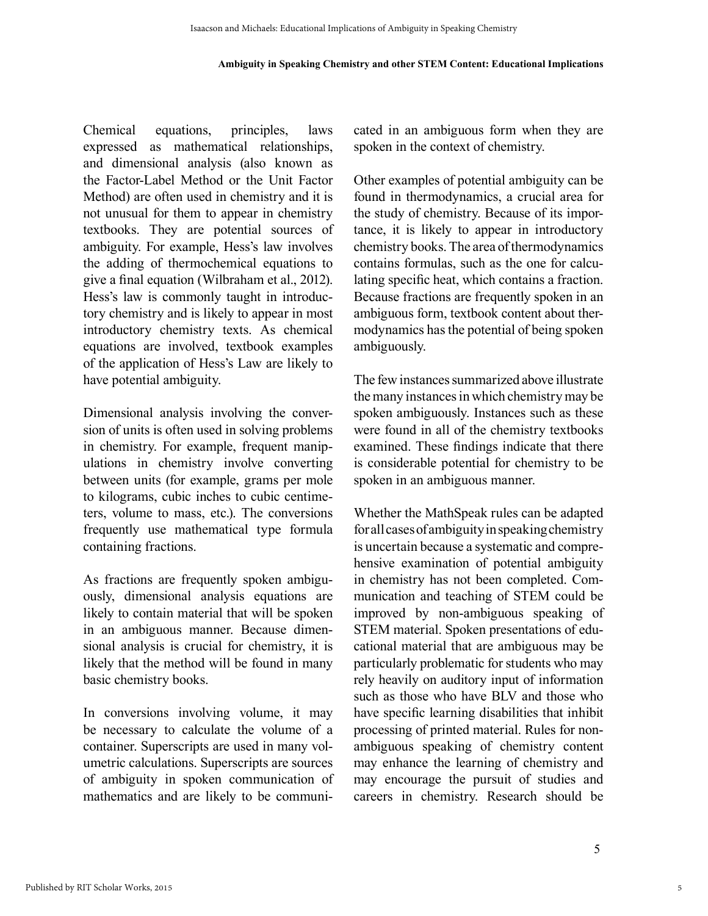#### **Ambiguity in Speaking Chemistry and other STEM Content: Educational Implications**

Chemical equations, principles, laws expressed as mathematical relationships, and dimensional analysis (also known as the Factor-Label Method or the Unit Factor Method) are often used in chemistry and it is not unusual for them to appear in chemistry textbooks. They are potential sources of ambiguity. For example, Hess's law involves the adding of thermochemical equations to give a final equation (Wilbraham et al., 2012). Hess's law is commonly taught in introductory chemistry and is likely to appear in most introductory chemistry texts. As chemical equations are involved, textbook examples of the application of Hess's Law are likely to have potential ambiguity.

Dimensional analysis involving the conversion of units is often used in solving problems in chemistry. For example, frequent manipulations in chemistry involve converting between units (for example, grams per mole to kilograms, cubic inches to cubic centimeters, volume to mass, etc.). The conversions frequently use mathematical type formula containing fractions.

As fractions are frequently spoken ambiguously, dimensional analysis equations are likely to contain material that will be spoken in an ambiguous manner. Because dimensional analysis is crucial for chemistry, it is likely that the method will be found in many basic chemistry books.

In conversions involving volume, it may be necessary to calculate the volume of a container. Superscripts are used in many volumetric calculations. Superscripts are sources of ambiguity in spoken communication of mathematics and are likely to be communicated in an ambiguous form when they are spoken in the context of chemistry.

Other examples of potential ambiguity can be found in thermodynamics, a crucial area for the study of chemistry. Because of its importance, it is likely to appear in introductory chemistry books. The area of thermodynamics contains formulas, such as the one for calculating specific heat, which contains a fraction. Because fractions are frequently spoken in an ambiguous form, textbook content about thermodynamics has the potential of being spoken ambiguously.

The few instances summarized above illustrate the many instances in which chemistry may be spoken ambiguously. Instances such as these were found in all of the chemistry textbooks examined. These findings indicate that there is considerable potential for chemistry to be spoken in an ambiguous manner.

Whether the MathSpeak rules can be adapted for all cases of ambiguity in speaking chemistry is uncertain because a systematic and comprehensive examination of potential ambiguity in chemistry has not been completed. Communication and teaching of STEM could be improved by non-ambiguous speaking of STEM material. Spoken presentations of educational material that are ambiguous may be particularly problematic for students who may rely heavily on auditory input of information such as those who have BLV and those who have specific learning disabilities that inhibit processing of printed material. Rules for nonambiguous speaking of chemistry content may enhance the learning of chemistry and may encourage the pursuit of studies and careers in chemistry. Research should be

5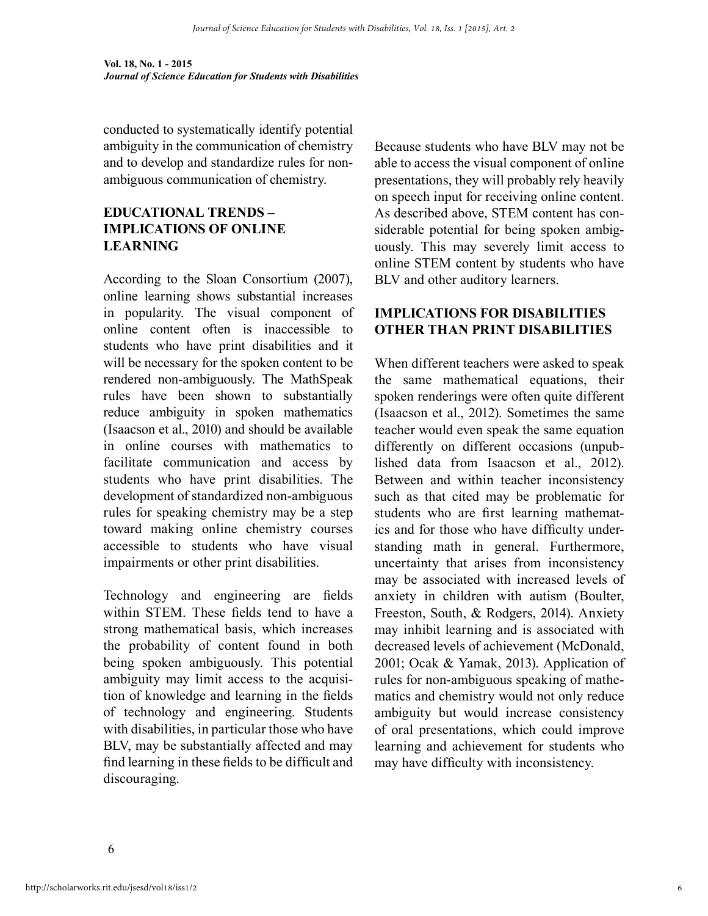**Vol. 18, No. 1 - 2015** *Journal of Science Education for Students with Disabilities*

conducted to systematically identify potential ambiguity in the communication of chemistry and to develop and standardize rules for nonambiguous communication of chemistry.

# **EDUCATIONAL TRENDS – IMPLICATIONS OF ONLINE LEARNING**

According to the Sloan Consortium (2007), online learning shows substantial increases in popularity. The visual component of online content often is inaccessible to students who have print disabilities and it will be necessary for the spoken content to be rendered non-ambiguously. The MathSpeak rules have been shown to substantially reduce ambiguity in spoken mathematics (Isaacson et al., 2010) and should be available in online courses with mathematics to facilitate communication and access by students who have print disabilities. The development of standardized non-ambiguous rules for speaking chemistry may be a step toward making online chemistry courses accessible to students who have visual impairments or other print disabilities.

Technology and engineering are fields within STEM. These fields tend to have a strong mathematical basis, which increases the probability of content found in both being spoken ambiguously. This potential ambiguity may limit access to the acquisition of knowledge and learning in the fields of technology and engineering. Students with disabilities, in particular those who have BLV, may be substantially affected and may find learning in these fields to be difficult and discouraging.

Because students who have BLV may not be able to access the visual component of online presentations, they will probably rely heavily on speech input for receiving online content. As described above, STEM content has considerable potential for being spoken ambiguously. This may severely limit access to online STEM content by students who have BLV and other auditory learners.

#### **IMPLICATIONS FOR DISABILITIES OTHER THAN PRINT DISABILITIES**

When different teachers were asked to speak the same mathematical equations, their spoken renderings were often quite different (Isaacson et al., 2012). Sometimes the same teacher would even speak the same equation differently on different occasions (unpublished data from Isaacson et al., 2012). Between and within teacher inconsistency such as that cited may be problematic for students who are first learning mathematics and for those who have difficulty understanding math in general. Furthermore, uncertainty that arises from inconsistency may be associated with increased levels of anxiety in children with autism (Boulter, Freeston, South, & Rodgers, 2014). Anxiety may inhibit learning and is associated with decreased levels of achievement (McDonald, 2001; Ocak & Yamak, 2013). Application of rules for non-ambiguous speaking of mathematics and chemistry would not only reduce ambiguity but would increase consistency of oral presentations, which could improve learning and achievement for students who may have difficulty with inconsistency.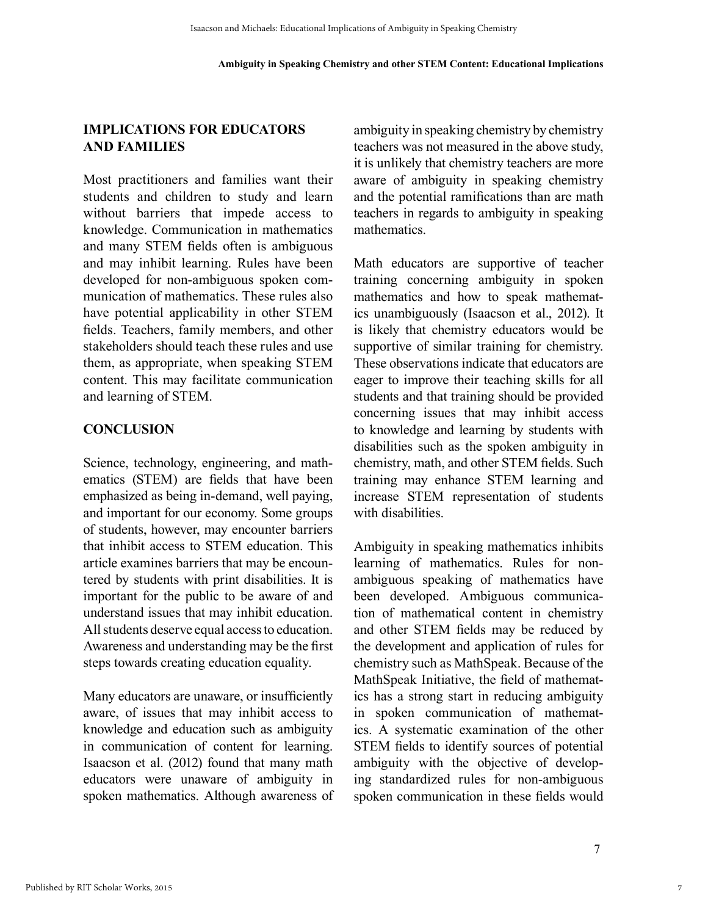#### **IMPLICATIONS FOR EDUCATORS AND FAMILIES**

Most practitioners and families want their students and children to study and learn without barriers that impede access to knowledge. Communication in mathematics and many STEM fields often is ambiguous and may inhibit learning. Rules have been developed for non-ambiguous spoken communication of mathematics. These rules also have potential applicability in other STEM fields. Teachers, family members, and other stakeholders should teach these rules and use them, as appropriate, when speaking STEM content. This may facilitate communication and learning of STEM.

#### **CONCLUSION**

Science, technology, engineering, and mathematics (STEM) are fields that have been emphasized as being in-demand, well paying, and important for our economy. Some groups of students, however, may encounter barriers that inhibit access to STEM education. This article examines barriers that may be encountered by students with print disabilities. It is important for the public to be aware of and understand issues that may inhibit education. All students deserve equal access to education. Awareness and understanding may be the first steps towards creating education equality.

Many educators are unaware, or insufficiently aware, of issues that may inhibit access to knowledge and education such as ambiguity in communication of content for learning. Isaacson et al. (2012) found that many math educators were unaware of ambiguity in spoken mathematics. Although awareness of ambiguity in speaking chemistry by chemistry teachers was not measured in the above study, it is unlikely that chemistry teachers are more aware of ambiguity in speaking chemistry and the potential ramifications than are math teachers in regards to ambiguity in speaking mathematics.

Math educators are supportive of teacher training concerning ambiguity in spoken mathematics and how to speak mathematics unambiguously (Isaacson et al., 2012). It is likely that chemistry educators would be supportive of similar training for chemistry. These observations indicate that educators are eager to improve their teaching skills for all students and that training should be provided concerning issues that may inhibit access to knowledge and learning by students with disabilities such as the spoken ambiguity in chemistry, math, and other STEM fields. Such training may enhance STEM learning and increase STEM representation of students with disabilities.

Ambiguity in speaking mathematics inhibits learning of mathematics. Rules for nonambiguous speaking of mathematics have been developed. Ambiguous communication of mathematical content in chemistry and other STEM fields may be reduced by the development and application of rules for chemistry such as MathSpeak. Because of the MathSpeak Initiative, the field of mathematics has a strong start in reducing ambiguity in spoken communication of mathematics. A systematic examination of the other STEM fields to identify sources of potential ambiguity with the objective of developing standardized rules for non-ambiguous spoken communication in these fields would

7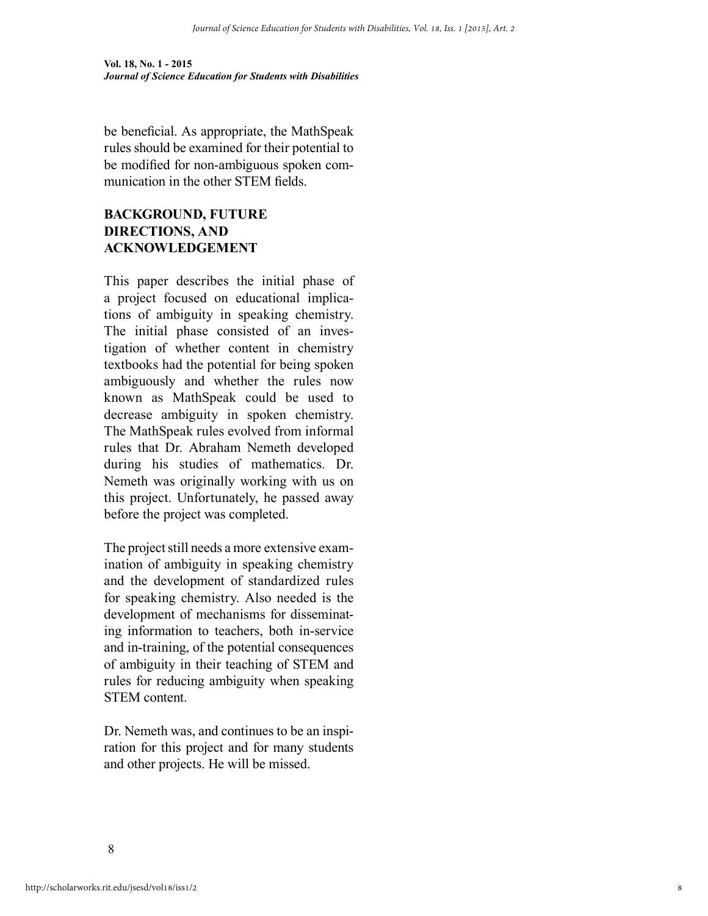**Vol. 18, No. 1 - 2015** *Journal of Science Education for Students with Disabilities*

be beneficial. As appropriate, the MathSpeak rules should be examined for their potential to be modified for non-ambiguous spoken communication in the other STEM fields.

# **BACKGROUND, FUTURE DIRECTIONS, AND ACKNOWLEDGEMENT**

This paper describes the initial phase of a project focused on educational implications of ambiguity in speaking chemistry. The initial phase consisted of an investigation of whether content in chemistry textbooks had the potential for being spoken ambiguously and whether the rules now known as MathSpeak could be used to decrease ambiguity in spoken chemistry. The MathSpeak rules evolved from informal rules that Dr. Abraham Nemeth developed during his studies of mathematics. Dr. Nemeth was originally working with us on this project. Unfortunately, he passed away before the project was completed.

The project still needs a more extensive examination of ambiguity in speaking chemistry and the development of standardized rules for speaking chemistry. Also needed is the development of mechanisms for disseminating information to teachers, both in-service and in-training, of the potential consequences of ambiguity in their teaching of STEM and rules for reducing ambiguity when speaking STEM content.

Dr. Nemeth was, and continues to be an inspiration for this project and for many students and other projects. He will be missed.